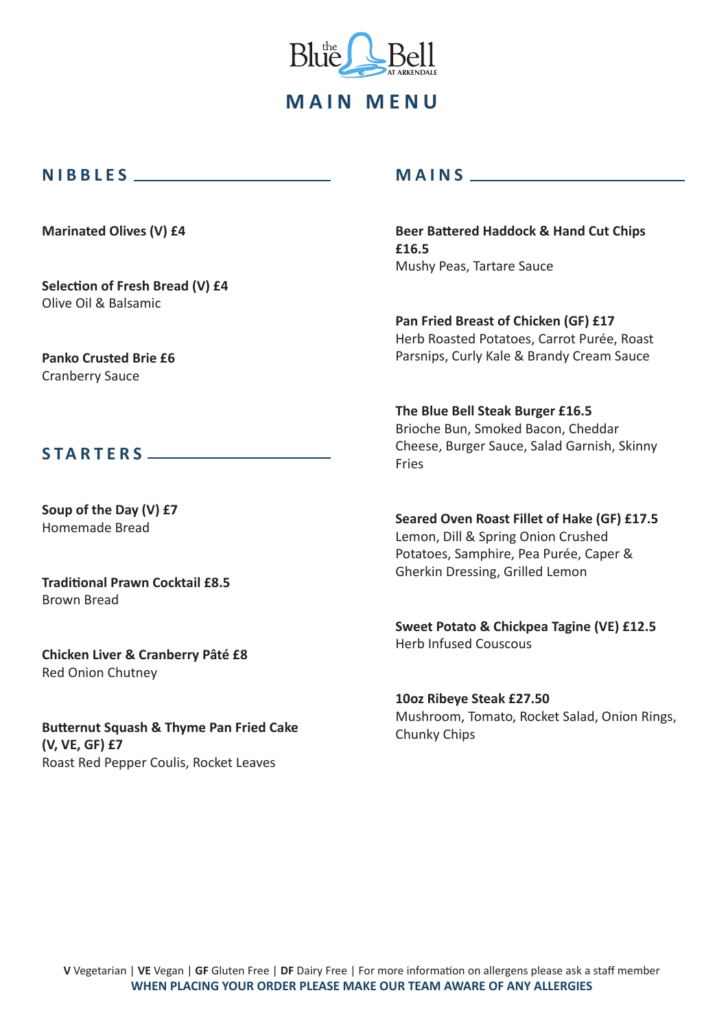

#### **NIBBLES**

**Marinated Olives (V) £4**

**Selection of Fresh Bread (V) £4**  Olive Oil & Balsamic

**Panko Crusted Brie £6**  Cranberry Sauce

#### **STARTERS**

**Soup of the Day (V) £7**  Homemade Bread

**Traditional Prawn Cocktail £8.5**  Brown Bread

**Chicken Liver & Cranberry Pâté £8**  Red Onion Chutney

**Butternut Squash & Thyme Pan Fried Cake (V, VE, GF) £7**  Roast Red Pepper Coulis, Rocket Leaves

# **MAINS**

**Beer Battered Haddock & Hand Cut Chips £16.5**  Mushy Peas, Tartare Sauce

**Pan Fried Breast of Chicken (GF) £17**  Herb Roasted Potatoes, Carrot Purée, Roast Parsnips, Curly Kale & Brandy Cream Sauce

**The Blue Bell Steak Burger £16.5**  Brioche Bun, Smoked Bacon, Cheddar Cheese, Burger Sauce, Salad Garnish, Skinny Fries

**Seared Oven Roast Fillet of Hake (GF) £17.5**  Lemon, Dill & Spring Onion Crushed Potatoes, Samphire, Pea Purée, Caper & Gherkin Dressing, Grilled Lemon

**Sweet Potato & Chickpea Tagine (VE) £12.5**  Herb Infused Couscous

**10oz Ribeye Steak £27.50** Mushroom, Tomato, Rocket Salad, Onion Rings, Chunky Chips